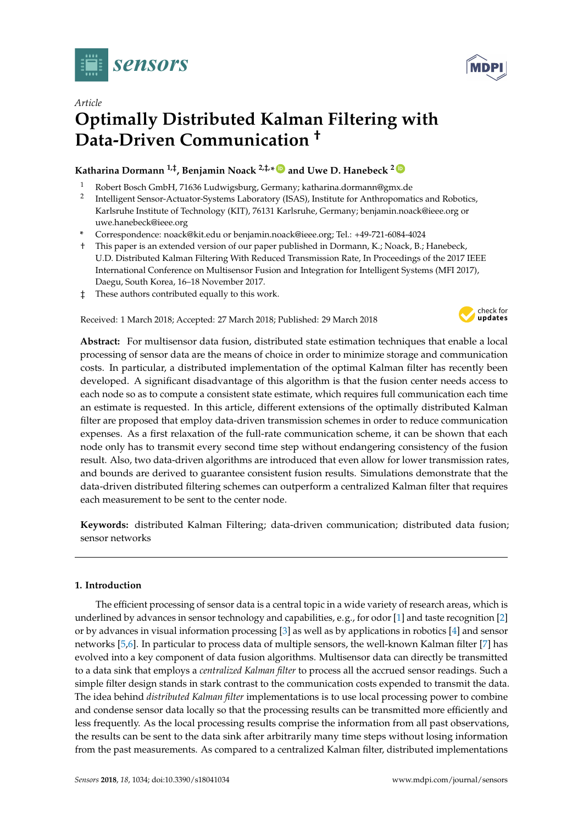



# *Article* **Optimally Distributed Kalman Filtering with Data-Driven Communication †**

## **Katharina Dormann 1,‡, Benjamin Noack 2,‡,\* [ID](https://orcid.org/0000-0001-8996-5738) and Uwe D. Hanebeck <sup>2</sup> [ID](https://orcid.org/0000-0001-9870-2331)**

- <sup>1</sup> Robert Bosch GmbH, 71636 Ludwigsburg, Germany; katharina.dormann@gmx.de
- 2 Intelligent Sensor-Actuator-Systems Laboratory (ISAS), Institute for Anthropomatics and Robotics, Karlsruhe Institute of Technology (KIT), 76131 Karlsruhe, Germany; benjamin.noack@ieee.org or uwe.hanebeck@ieee.org
- **\*** Correspondence: noack@kit.edu or benjamin.noack@ieee.org; Tel.: +49-721-6084-4024
- † This paper is an extended version of our paper published in Dormann, K.; Noack, B.; Hanebeck, U.D. Distributed Kalman Filtering With Reduced Transmission Rate, In Proceedings of the 2017 IEEE International Conference on Multisensor Fusion and Integration for Intelligent Systems (MFI 2017), Daegu, South Korea, 16–18 November 2017.
- ‡ These authors contributed equally to this work.

Received: 1 March 2018; Accepted: 27 March 2018; Published: 29 March 2018



**Abstract:** For multisensor data fusion, distributed state estimation techniques that enable a local processing of sensor data are the means of choice in order to minimize storage and communication costs. In particular, a distributed implementation of the optimal Kalman filter has recently been developed. A significant disadvantage of this algorithm is that the fusion center needs access to each node so as to compute a consistent state estimate, which requires full communication each time an estimate is requested. In this article, different extensions of the optimally distributed Kalman filter are proposed that employ data-driven transmission schemes in order to reduce communication expenses. As a first relaxation of the full-rate communication scheme, it can be shown that each node only has to transmit every second time step without endangering consistency of the fusion result. Also, two data-driven algorithms are introduced that even allow for lower transmission rates, and bounds are derived to guarantee consistent fusion results. Simulations demonstrate that the data-driven distributed filtering schemes can outperform a centralized Kalman filter that requires each measurement to be sent to the center node.

**Keywords:** distributed Kalman Filtering; data-driven communication; distributed data fusion; sensor networks

## **1. Introduction**

The efficient processing of sensor data is a central topic in a wide variety of research areas, which is underlined by advances in sensor technology and capabilities, e.g., for odor [\[1\]](#page-15-0) and taste recognition [\[2\]](#page-15-1) or by advances in visual information processing [\[3\]](#page-15-2) as well as by applications in robotics [\[4\]](#page-15-3) and sensor networks [\[5](#page-15-4)[,6\]](#page-15-5). In particular to process data of multiple sensors, the well-known Kalman filter [\[7\]](#page-15-6) has evolved into a key component of data fusion algorithms. Multisensor data can directly be transmitted to a data sink that employs a *centralized Kalman filter* to process all the accrued sensor readings. Such a simple filter design stands in stark contrast to the communication costs expended to transmit the data. The idea behind *distributed Kalman filter* implementations is to use local processing power to combine and condense sensor data locally so that the processing results can be transmitted more efficiently and less frequently. As the local processing results comprise the information from all past observations, the results can be sent to the data sink after arbitrarily many time steps without losing information from the past measurements. As compared to a centralized Kalman filter, distributed implementations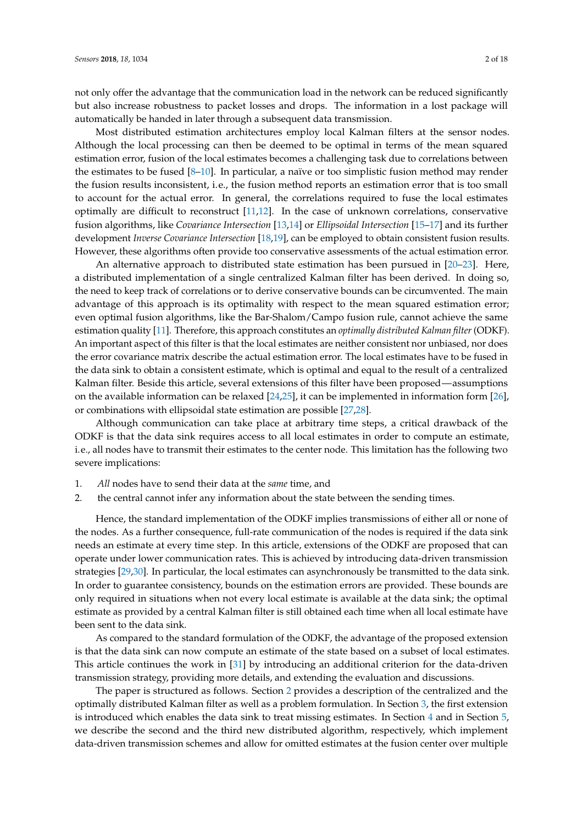not only offer the advantage that the communication load in the network can be reduced significantly but also increase robustness to packet losses and drops. The information in a lost package will automatically be handed in later through a subsequent data transmission.

Most distributed estimation architectures employ local Kalman filters at the sensor nodes. Although the local processing can then be deemed to be optimal in terms of the mean squared estimation error, fusion of the local estimates becomes a challenging task due to correlations between the estimates to be fused [\[8–](#page-15-7)[10\]](#page-15-8). In particular, a naïve or too simplistic fusion method may render the fusion results inconsistent, i.e., the fusion method reports an estimation error that is too small to account for the actual error. In general, the correlations required to fuse the local estimates optimally are difficult to reconstruct [\[11,](#page-15-9)[12\]](#page-15-10). In the case of unknown correlations, conservative fusion algorithms, like *Covariance Intersection* [\[13](#page-15-11)[,14\]](#page-15-12) or *Ellipsoidal Intersection* [\[15–](#page-15-13)[17\]](#page-15-14) and its further development *Inverse Covariance Intersection* [\[18,](#page-15-15)[19\]](#page-16-0), can be employed to obtain consistent fusion results. However, these algorithms often provide too conservative assessments of the actual estimation error.

An alternative approach to distributed state estimation has been pursued in [\[20](#page-16-1)[–23\]](#page-16-2). Here, a distributed implementation of a single centralized Kalman filter has been derived. In doing so, the need to keep track of correlations or to derive conservative bounds can be circumvented. The main advantage of this approach is its optimality with respect to the mean squared estimation error; even optimal fusion algorithms, like the Bar-Shalom/Campo fusion rule, cannot achieve the same estimation quality [\[11\]](#page-15-9). Therefore, this approach constitutes an *optimally distributed Kalman filter* (ODKF). An important aspect of this filter is that the local estimates are neither consistent nor unbiased, nor does the error covariance matrix describe the actual estimation error. The local estimates have to be fused in the data sink to obtain a consistent estimate, which is optimal and equal to the result of a centralized Kalman filter. Beside this article, several extensions of this filter have been proposed—assumptions on the available information can be relaxed [\[24](#page-16-3)[,25\]](#page-16-4), it can be implemented in information form [\[26\]](#page-16-5), or combinations with ellipsoidal state estimation are possible [\[27,](#page-16-6)[28\]](#page-16-7).

Although communication can take place at arbitrary time steps, a critical drawback of the ODKF is that the data sink requires access to all local estimates in order to compute an estimate, i.e., all nodes have to transmit their estimates to the center node. This limitation has the following two severe implications:

- 1. *All* nodes have to send their data at the *same* time, and
- 2. the central cannot infer any information about the state between the sending times.

Hence, the standard implementation of the ODKF implies transmissions of either all or none of the nodes. As a further consequence, full-rate communication of the nodes is required if the data sink needs an estimate at every time step. In this article, extensions of the ODKF are proposed that can operate under lower communication rates. This is achieved by introducing data-driven transmission strategies [\[29,](#page-16-8)[30\]](#page-16-9). In particular, the local estimates can asynchronously be transmitted to the data sink. In order to guarantee consistency, bounds on the estimation errors are provided. These bounds are only required in situations when not every local estimate is available at the data sink; the optimal estimate as provided by a central Kalman filter is still obtained each time when all local estimate have been sent to the data sink.

As compared to the standard formulation of the ODKF, the advantage of the proposed extension is that the data sink can now compute an estimate of the state based on a subset of local estimates. This article continues the work in [\[31\]](#page-16-10) by introducing an additional criterion for the data-driven transmission strategy, providing more details, and extending the evaluation and discussions.

The paper is structured as follows. Section [2](#page-2-0) provides a description of the centralized and the optimally distributed Kalman filter as well as a problem formulation. In Section [3,](#page-5-0) the first extension is introduced which enables the data sink to treat missing estimates. In Section [4](#page-6-0) and in Section [5,](#page-9-0) we describe the second and the third new distributed algorithm, respectively, which implement data-driven transmission schemes and allow for omitted estimates at the fusion center over multiple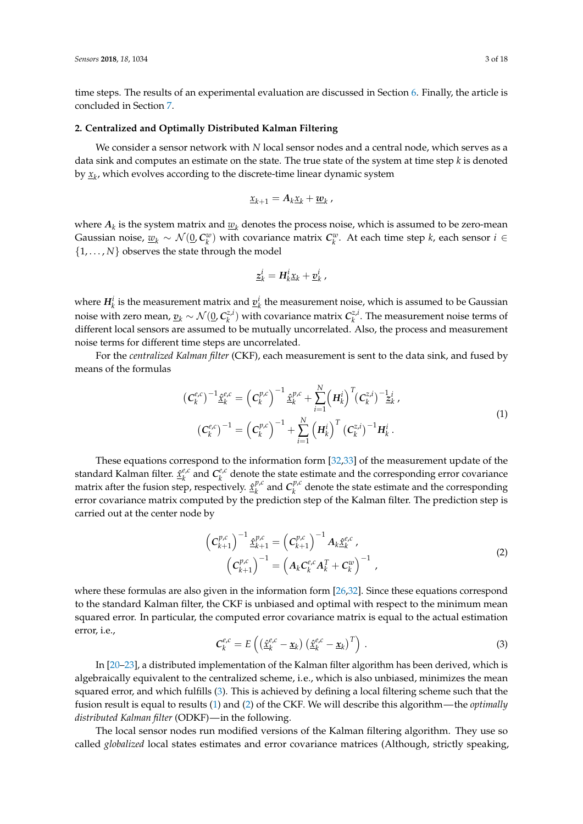time steps. The results of an experimental evaluation are discussed in Section [6.](#page-10-0) Finally, the article is concluded in Section [7.](#page-11-0)

### <span id="page-2-0"></span>**2. Centralized and Optimally Distributed Kalman Filtering**

We consider a sensor network with *N* local sensor nodes and a central node, which serves as a data sink and computes an estimate on the state. The true state of the system at time step *k* is denoted by *x<sup>k</sup>* , which evolves according to the discrete-time linear dynamic system

$$
\underline{x}_{k+1}=A_k\underline{x}_k+\underline{w}_k,
$$

where  $A_k$  is the system matrix and  $\underline{w}_k$  denotes the process noise, which is assumed to be zero-mean Gaussian noise,  $\underline{w}_k \sim \mathcal{N}(\underline{0}, \mathcal{C}_k^w)$  with covariance matrix  $\mathcal{C}_k^w$ . At each time step *k*, each sensor  $i \in$  $\{1, \ldots, N\}$  observes the state through the model

<span id="page-2-2"></span>
$$
\underline{z}_k^i = \mathbf{H}_k^i \underline{x}_k + \underline{v}_k^i \; ,
$$

where  $H^i_k$  is the measurement matrix and  $\underline{v}^i_k$  the measurement noise, which is assumed to be Gaussian noise with zero mean,  $\underline{v}_k \sim \mathcal{N}(\underline{0}, \textit{\textbf{C}}_{k}^{z,i})$  $L_k^{z,i}$ ) with covariance matrix  $C_k^{z,i}$  $\frac{dz}{k}$ . The measurement noise terms of different local sensors are assumed to be mutually uncorrelated. Also, the process and measurement noise terms for different time steps are uncorrelated.

For the *centralized Kalman filter* (CKF), each measurement is sent to the data sink, and fused by means of the formulas

$$
\left(C_{k}^{e,c}\right)^{-1} \underline{\hat{x}}_{k}^{e,c} = \left(C_{k}^{p,c}\right)^{-1} \underline{\hat{x}}_{k}^{p,c} + \sum_{i=1}^{N} \left(H_{k}^{i}\right)^{T} \left(C_{k}^{z,i}\right)^{-1} \underline{\hat{z}}_{k}^{i},
$$
\n
$$
\left(C_{k}^{e,c}\right)^{-1} = \left(C_{k}^{p,c}\right)^{-1} + \sum_{i=1}^{N} \left(H_{k}^{i}\right)^{T} \left(C_{k}^{z,i}\right)^{-1} H_{k}^{i}.
$$
\n(1)

These equations correspond to the information form [\[32,](#page-16-11)[33\]](#page-16-12) of the measurement update of the standard Kalman filter.  $\hat{\chi}^{e,c}_{k}$  $k$ <sup>*e*,*c*</sup> and  $C_k^{e,c}$  $\kappa_k^{\epsilon,\epsilon}$  denote the state estimate and the corresponding error covariance matrix after the fusion step, respectively.  $\hat{\chi}_k^{p,c}$  $k^{p,c}$  and  $C_k^{p,c}$  $\mathbf{k}^{\mu,\mu}$  denote the state estimate and the corresponding error covariance matrix computed by the prediction step of the Kalman filter. The prediction step is carried out at the center node by

<span id="page-2-3"></span>
$$
\left(C_{k+1}^{p,c}\right)^{-1} \hat{\mathfrak{L}}_{k+1}^{p,c} = \left(C_{k+1}^{p,c}\right)^{-1} A_k \hat{\mathfrak{L}}_k^{e,c},
$$
\n
$$
\left(C_{k+1}^{p,c}\right)^{-1} = \left(A_k C_k^{e,c} A_k^T + C_k^w\right)^{-1},
$$
\n(2)

where these formulas are also given in the information form [\[26,](#page-16-5)[32\]](#page-16-11). Since these equations correspond to the standard Kalman filter, the CKF is unbiased and optimal with respect to the minimum mean squared error. In particular, the computed error covariance matrix is equal to the actual estimation error, i.e.,

<span id="page-2-1"></span>
$$
\mathbf{C}_{k}^{e,c} = E\left( \left( \underline{\mathbf{x}}_{k}^{e,c} - \underline{\mathbf{x}}_{k} \right) \left( \underline{\mathbf{x}}_{k}^{e,c} - \underline{\mathbf{x}}_{k} \right)^{T} \right). \tag{3}
$$

In [\[20](#page-16-1)[–23\]](#page-16-2), a distributed implementation of the Kalman filter algorithm has been derived, which is algebraically equivalent to the centralized scheme, i.e., which is also unbiased, minimizes the mean squared error, and which fulfills [\(3\)](#page-2-1). This is achieved by defining a local filtering scheme such that the fusion result is equal to results [\(1\)](#page-2-2) and [\(2\)](#page-2-3) of the CKF. We will describe this algorithm—the *optimally distributed Kalman filter* (ODKF)—in the following.

The local sensor nodes run modified versions of the Kalman filtering algorithm. They use so called *globalized* local states estimates and error covariance matrices (Although, strictly speaking,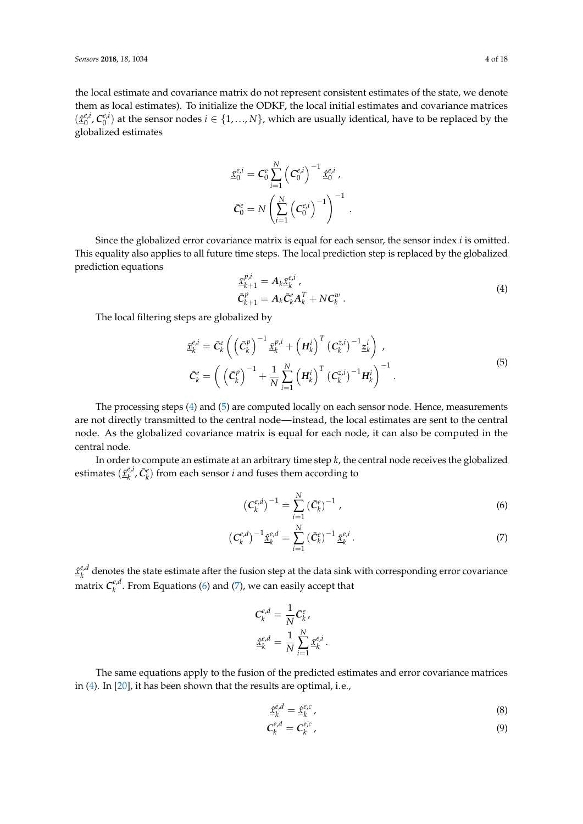the local estimate and covariance matrix do not represent consistent estimates of the state, we denote them as local estimates). To initialize the ODKF, the local initial estimates and covariance matrices  $(\hat{\underline{x}}_0^{e,i}, \hat{\underline{C}_0^{e,i}})$  at the sensor nodes  $i \in \{1,...,N\}$ , which are usually identical, have to be replaced by the globalized estimates

$$
\underline{\tilde{x}}_0^{e,i} = C_0^e \sum_{i=1}^N \left(C_0^{e,i}\right)^{-1} \underline{\hat{x}}_0^{e,i},
$$

$$
\bar{C}_0^e = N \left(\sum_{i=1}^N \left(C_0^{e,i}\right)^{-1}\right)^{-1}.
$$

Since the globalized error covariance matrix is equal for each sensor, the sensor index *i* is omitted. This equality also applies to all future time steps. The local prediction step is replaced by the globalized prediction equations

<span id="page-3-1"></span><span id="page-3-0"></span>
$$
\begin{aligned}\n\bar{\mathbf{x}}_{k+1}^{p,i} &= A_k \bar{\mathbf{x}}_k^{e,i}, \\
\bar{\mathbf{C}}_{k+1}^p &= A_k \bar{\mathbf{C}}_k^e A_k^T + N \mathbf{C}_k^w.\n\end{aligned} \tag{4}
$$

The local filtering steps are globalized by

$$
\underline{x}_{k}^{e,i} = C_{k}^{e} \left( \left( C_{k}^{p} \right)^{-1} \underline{x}_{k}^{p,i} + \left( H_{k}^{i} \right)^{T} \left( C_{k}^{z,i} \right)^{-1} \underline{z}_{k}^{i} \right),
$$
\n
$$
\bar{C}_{k}^{e} = \left( \left( \bar{C}_{k}^{p} \right)^{-1} + \frac{1}{N} \sum_{i=1}^{N} \left( H_{k}^{i} \right)^{T} \left( C_{k}^{z,i} \right)^{-1} H_{k}^{i} \right)^{-1}.
$$
\n(5)

The processing steps [\(4\)](#page-3-0) and [\(5\)](#page-3-1) are computed locally on each sensor node. Hence, measurements are not directly transmitted to the central node—instead, the local estimates are sent to the central node. As the globalized covariance matrix is equal for each node, it can also be computed in the central node.

In order to compute an estimate at an arbitrary time step *k*, the central node receives the globalized estimates  $(\underline{\bar{x}}_k^{e,i})$  $\mathcal{E}_{k}^{e,i}$ ,  $\bar{\mathcal{C}}_{k}^{e}$  from each sensor *i* and fuses them according to

<span id="page-3-2"></span>
$$
\left(C_k^{e,d}\right)^{-1} = \sum_{i=1}^N \left(C_k^e\right)^{-1},\tag{6}
$$

$$
\left(C_k^{e,d}\right)^{-1} \underline{\hat{x}}_k^{e,d} = \sum_{i=1}^N \left(\bar{C}_k^e\right)^{-1} \underline{\tilde{x}}_k^{e,i} \,. \tag{7}
$$

 $\underline{\hat{x}}_k^{e,d}$  $k_{k}^{\mu}$  denotes the state estimate after the fusion step at the data sink with corresponding error covariance matrix *C e*,*d k* . From Equations [\(6\)](#page-3-2) and [\(7\)](#page-3-3), we can easily accept that

<span id="page-3-3"></span>
$$
C_k^{e,d} = \frac{1}{N} C_k^e,
$$
  

$$
\hat{\underline{x}}_k^{e,d} = \frac{1}{N} \sum_{i=1}^N \underline{\underline{x}}_k^{e,i}.
$$

The same equations apply to the fusion of the predicted estimates and error covariance matrices in [\(4\)](#page-3-0). In [\[20\]](#page-16-1), it has been shown that the results are optimal, i.e.,

<span id="page-3-5"></span><span id="page-3-4"></span>
$$
\hat{\underline{x}}_k^{\varepsilon,d} = \hat{\underline{x}}_k^{\varepsilon,c} \tag{8}
$$

$$
\mathcal{C}_k^{e,d} = \mathcal{C}_k^{e,c} \tag{9}
$$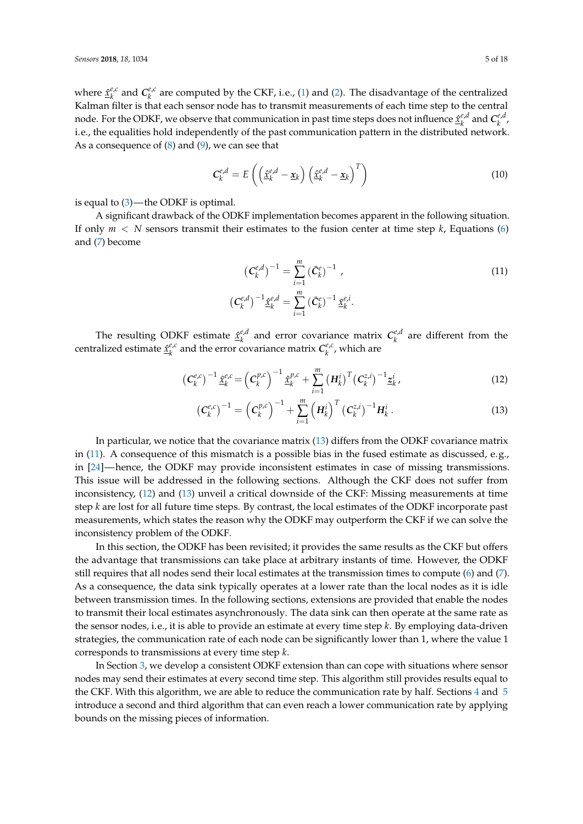where  $\underline{\hat{x}}_k^{e,c}$  $k$ <sup>*e*,*c*</sup> and  $C_k^{e,c}$  $\mathcal{E}_k^{e,c}$  are computed by the CKF, i.e., [\(1\)](#page-2-2) and [\(2\)](#page-2-3). The disadvantage of the centralized Kalman filter is that each sensor node has to transmit measurements of each time step to the central node. For the ODKF, we observe that communication in past time steps does not influence  $\underline{\hat{x}}^{\varrho, d}_k$  $c_k^{e,d}$  and  $C_k^{e,d}$ *k* , i.e., the equalities hold independently of the past communication pattern in the distributed network. As a consequence of  $(8)$  and  $(9)$ , we can see that

<span id="page-4-3"></span>
$$
\mathbf{C}_{k}^{e,d} = E\left(\left(\underline{\hat{\mathbf{x}}}_{k}^{e,d} - \underline{\mathbf{x}}_{k}\right)\left(\underline{\hat{\mathbf{x}}}_{k}^{e,d} - \underline{\mathbf{x}}_{k}\right)^{T}\right) \tag{10}
$$

is equal to [\(3\)](#page-2-1)—the ODKF is optimal.

A significant drawback of the ODKF implementation becomes apparent in the following situation. If only  $m < N$  sensors transmit their estimates to the fusion center at time step  $k$ , Equations [\(6\)](#page-3-2) and [\(7\)](#page-3-3) become

<span id="page-4-2"></span><span id="page-4-1"></span><span id="page-4-0"></span>
$$
\left(C_{k}^{e,d}\right)^{-1} = \sum_{i=1}^{m} \left(\bar{C}_{k}^{e}\right)^{-1},
$$
\n
$$
\left(C_{k}^{e,d}\right)^{-1} \hat{\underline{x}}_{k}^{e,d} = \sum_{i=1}^{m} \left(\bar{C}_{k}^{e}\right)^{-1} \bar{\underline{x}}_{k}^{e,i}.
$$
\n(11)

The resulting ODKF estimate  $\hat{x}_{k}^{e,d}$  $c^{e,d}$  and error covariance matrix  $C^{e,d}_k$  $\kappa_k^{e,u}$  are different from the centralized estimate  $\hat{\chi}^{e,c}_{k}$  $\mathcal{C}_{k}^{e,c}$  and the error covariance matrix  $\mathcal{C}_{k}^{e,c}$  $\kappa^e$ , which are

$$
\left(C_k^{e,c}\right)^{-1} \hat{\underline{x}}_k^{e,c} = \left(C_k^{p,c}\right)^{-1} \hat{\underline{x}}_k^{p,c} + \sum_{i=1}^m \left(H_k^i\right)^T \left(C_k^{z,i}\right)^{-1} \underline{\underline{z}}_k^i \,,\tag{12}
$$

$$
\left(C_k^{e,c}\right)^{-1} = \left(C_k^{p,c}\right)^{-1} + \sum_{i=1}^m \left(H_k^i\right)^T \left(C_k^{z,i}\right)^{-1} H_k^i \,. \tag{13}
$$

In particular, we notice that the covariance matrix [\(13\)](#page-4-0) differs from the ODKF covariance matrix in [\(11\)](#page-4-1). A consequence of this mismatch is a possible bias in the fused estimate as discussed, e.g., in [\[24\]](#page-16-3)—hence, the ODKF may provide inconsistent estimates in case of missing transmissions. This issue will be addressed in the following sections. Although the CKF does not suffer from inconsistency, [\(12\)](#page-4-2) and [\(13\)](#page-4-0) unveil a critical downside of the CKF: Missing measurements at time step *k* are lost for all future time steps. By contrast, the local estimates of the ODKF incorporate past measurements, which states the reason why the ODKF may outperform the CKF if we can solve the inconsistency problem of the ODKF.

In this section, the ODKF has been revisited; it provides the same results as the CKF but offers the advantage that transmissions can take place at arbitrary instants of time. However, the ODKF still requires that all nodes send their local estimates at the transmission times to compute [\(6\)](#page-3-2) and [\(7\)](#page-3-3). As a consequence, the data sink typically operates at a lower rate than the local nodes as it is idle between transmission times. In the following sections, extensions are provided that enable the nodes to transmit their local estimates asynchronously. The data sink can then operate at the same rate as the sensor nodes, i.e., it is able to provide an estimate at every time step *k*. By employing data-driven strategies, the communication rate of each node can be significantly lower than 1, where the value 1 corresponds to transmissions at every time step *k*.

In Section [3,](#page-5-0) we develop a consistent ODKF extension than can cope with situations where sensor nodes may send their estimates at every second time step. This algorithm still provides results equal to the CKF. With this algorithm, we are able to reduce the communication rate by half. Sections [4](#page-6-0) and [5](#page-9-0) introduce a second and third algorithm that can even reach a lower communication rate by applying bounds on the missing pieces of information.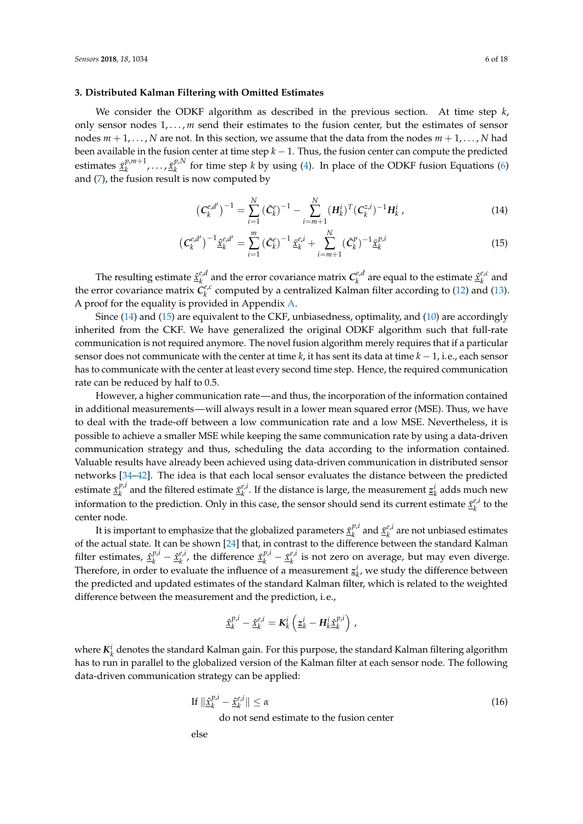#### <span id="page-5-0"></span>**3. Distributed Kalman Filtering with Omitted Estimates**

We consider the ODKF algorithm as described in the previous section. At time step *k*, only sensor nodes 1, . . . , *m* send their estimates to the fusion center, but the estimates of sensor nodes  $m + 1, \ldots, N$  are not. In this section, we assume that the data from the nodes  $m + 1, \ldots, N$  had been available in the fusion center at time step *k* − 1. Thus, the fusion center can compute the predicted estimates  $\bar{x}^{p,m+1}_k$  $\frac{p,m+1}{k}, \ldots, \frac{x_k^{p,N}}{k}$  $f_k^{\mu\nu}$  for time step *k* by using [\(4\)](#page-3-0). In place of the ODKF fusion Equations [\(6\)](#page-3-2) and [\(7\)](#page-3-3), the fusion result is now computed by

<span id="page-5-2"></span><span id="page-5-1"></span>
$$
\left(C_k^{e,d'}\right)^{-1} = \sum_{i=1}^N \left(\bar{C}_k^e\right)^{-1} - \sum_{i=m+1}^N \left(\bm{H}_k^i\right)^T \left(\bm{C}_k^{z,i}\right)^{-1} \bm{H}_k^i \,,\tag{14}
$$

$$
\left(C_k^{e,d'}\right)^{-1} \hat{\underline{\mathbf{x}}}_k^{e,d'} = \sum_{i=1}^m \left(\bar{C}_k^e\right)^{-1} \underline{\mathbf{x}}_k^{e,i} + \sum_{i=m+1}^N (\bar{C}_k^p)^{-1} \underline{\mathbf{x}}_k^{p,i}
$$
(15)

The resulting estimate  $\underline{\hat{x}}_k^{e,d}$  $e^{i, d}_{k}$  and the error covariance matrix  $C_{k}^{e, d}$  $\hat{x}^{e,d}_k$  are equal to the estimate  $\hat{\underline{x}}_k^{e,c}$  $\frac{e}{k}$  and the error covariance matrix  $\hat{\mathcal{C}}_k^{e,c}$  $k_{k}^{e,c}$  computed by a centralized Kalman filter according to  $(12)$  and  $(13)$ . A proof for the equality is provided in Appendix [A.](#page-12-0)

Since [\(14\)](#page-5-1) and [\(15\)](#page-5-2) are equivalent to the CKF, unbiasedness, optimality, and [\(10\)](#page-4-3) are accordingly inherited from the CKF. We have generalized the original ODKF algorithm such that full-rate communication is not required anymore. The novel fusion algorithm merely requires that if a particular sensor does not communicate with the center at time *k*, it has sent its data at time *k* − 1, i.e., each sensor has to communicate with the center at least every second time step. Hence, the required communication rate can be reduced by half to 0.5.

However, a higher communication rate—and thus, the incorporation of the information contained in additional measurements—will always result in a lower mean squared error (MSE). Thus, we have to deal with the trade-off between a low communication rate and a low MSE. Nevertheless, it is possible to achieve a smaller MSE while keeping the same communication rate by using a data-driven communication strategy and thus, scheduling the data according to the information contained. Valuable results have already been achieved using data-driven communication in distributed sensor networks [\[34](#page-16-13)[–42\]](#page-17-0). The idea is that each local sensor evaluates the distance between the predicted estimate  $\bar{\underline{x}}_k^{p,i}$  $\frac{p_i}{k}$  and the filtered estimate  $\frac{\bar{x}_k^{e,i}}{k}$  $\mathbf{z}_k^i$ . If the distance is large, the measurement  $\mathbf{z}_k^i$  adds much new information to the prediction. Only in this case, the sensor should send its current estimate  $\tilde{x}_k^{e,i}$  $\frac{e^{i\theta}}{k}$  to the center node.

It is important to emphasize that the globalized parameters  $\frac{x_k^{p,i}}{p}$  $k^{p,i}$  and  $\frac{\bar{x}^{e,i}_{k}}{h}$  $k \atop k$  are not unbiased estimates of the actual state. It can be shown [\[24\]](#page-16-3) that, in contrast to the difference between the standard Kalman filter estimates,  $\underline{\hat{x}}_k^{p,i} - \underline{\hat{x}}_k^{e,i}$  $\frac{e^{i}}{k}$ , the difference  $\frac{\bar{x}_{k}^{p,i}}{k} - \frac{\bar{x}_{k}^{e,i}}{k}$  $\frac{e^{i}}{k}$  is not zero on average, but may even diverge. Therefore, in order to evaluate the influence of a measurement  $\underline{z}^i_k$ , we study the difference between the predicted and updated estimates of the standard Kalman filter, which is related to the weighted difference between the measurement and the prediction, i.e.,

<span id="page-5-3"></span>
$$
\hat{\underline{x}}_k^{p,i}-\hat{\underline{x}}_k^{e,i}=\boldsymbol{K}_k^i\left(\underline{z}_k^i-\boldsymbol{H}_k^i\hat{\underline{x}}_k^{p,i}\right)\,,
$$

where  $K_k^i$  denotes the standard Kalman gain. For this purpose, the standard Kalman filtering algorithm has to run in parallel to the globalized version of the Kalman filter at each sensor node. The following data-driven communication strategy can be applied:

$$
\text{If } \|\underline{\mathfrak{x}}_k^{p,i} - \underline{\mathfrak{x}}_k^{e,i}\| \le \alpha \tag{16}
$$

do not send estimate to the fusion center

else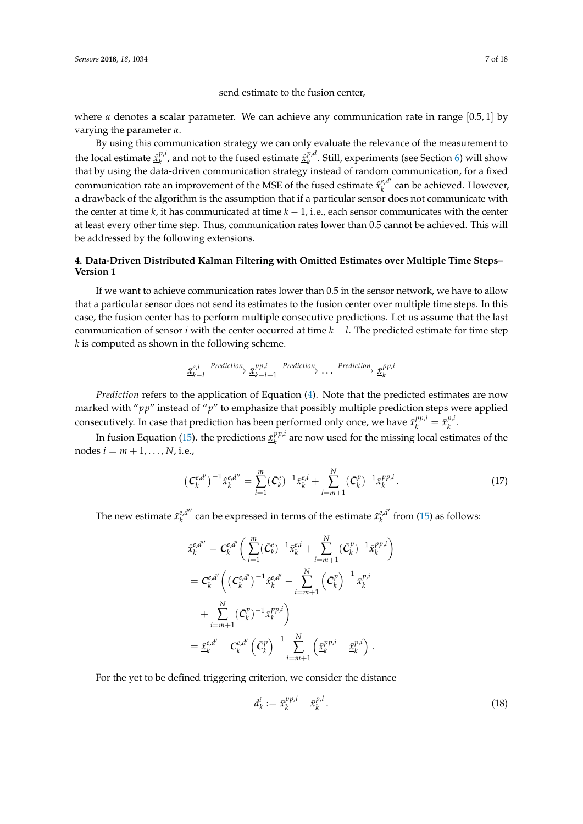#### send estimate to the fusion center,

where  $\alpha$  denotes a scalar parameter. We can achieve any communication rate in range [0.5, 1] by varying the parameter *α*.

By using this communication strategy we can only evaluate the relevance of the measurement to the local estimate  $\hat{\underline{x}}_k^{p,i}$  $_{k}^{p,i}$ , and not to the fused estimate  $\underline{\hat{x}}_{k}^{p,d}$  $\mu_k^{\mu,\mu}$ . Still, experiments (see Section [6\)](#page-10-0) will show that by using the data-driven communication strategy instead of random communication, for a fixed communication rate an improvement of the MSE of the fused estimate  $\hat{x}^{e, d}_{k}$  $k_k^{e,u}$  can be achieved. However, a drawback of the algorithm is the assumption that if a particular sensor does not communicate with the center at time *k*, it has communicated at time *k* − 1, i.e., each sensor communicates with the center at least every other time step. Thus, communication rates lower than 0.5 cannot be achieved. This will be addressed by the following extensions.

## <span id="page-6-0"></span>**4. Data-Driven Distributed Kalman Filtering with Omitted Estimates over Multiple Time Steps– Version 1**

If we want to achieve communication rates lower than 0.5 in the sensor network, we have to allow that a particular sensor does not send its estimates to the fusion center over multiple time steps. In this case, the fusion center has to perform multiple consecutive predictions. Let us assume that the last communication of sensor *i* with the center occurred at time *k* − *l*. The predicted estimate for time step *k* is computed as shown in the following scheme.

$$
\underline{\bar{x}}_{k-l}^{e,i} \xrightarrow{\text{ Prediction}} \underline{\bar{x}}_{k-l+1}^{pp,i} \xrightarrow{\text{ Prediction}} \dots \xrightarrow{\text{ Prediction}} \underline{\bar{x}}_k^{pp,i}
$$

*Prediction* refers to the application of Equation [\(4\)](#page-3-0). Note that the predicted estimates are now marked with "*pp*" instead of "*p*" to emphasize that possibly multiple prediction steps were applied consecutively. In case that prediction has been performed only once, we have  $\underline{x}_{k}^{pp,i} = \underline{x}_{k}^{p,i}$ *k* .

In fusion Equation [\(15\)](#page-5-2). the predictions  $\bar{x}_k^{pp,i}$ *k* are now used for the missing local estimates of the  $nodes i = m + 1, ..., N, i.e.,$ 

<span id="page-6-2"></span>
$$
\left(\mathcal{C}_{k}^{e,d'}\right)^{-1} \hat{\underline{\mathbf{x}}}_{k}^{e,d''} = \sum_{i=1}^{m} (\bar{\mathcal{C}}_{k}^{e})^{-1} \bar{\underline{\mathbf{x}}}_{k}^{e,i} + \sum_{i=m+1}^{N} (\bar{\mathcal{C}}_{k}^{p})^{-1} \bar{\underline{\mathbf{x}}}_{k}^{p,p,i} \,. \tag{17}
$$

The new estimate  $\underline{\hat{x}}_k^{e,d''}$  $\frac{e^{i \mathcal{A}''}}{k}$  can be expressed in terms of the estimate  $\hat{\underline{x}}_{k}^{e, d'}$  $\kappa_k^{\nu,\mu}$  from [\(15\)](#page-5-2) as follows:

$$
\begin{split} \underline{\hat{x}}_{k}^{e,d''} &= C_{k}^{e,d'} \bigg( \sum_{i=1}^{m} (\bar{C}_{k}^{e})^{-1} \underline{\bar{x}}_{k}^{e,i} + \sum_{i=m+1}^{N} (\bar{C}_{k}^{p})^{-1} \underline{\bar{x}}_{k}^{pp,i} \bigg) \\ &= C_{k}^{e,d'} \bigg( (C_{k}^{e,d'})^{-1} \underline{\hat{x}}_{k}^{e,d'} - \sum_{i=m+1}^{N} (\bar{C}_{k}^{p})^{-1} \underline{\bar{x}}_{k}^{p,i} \\ &+ \sum_{i=m+1}^{N} (\bar{C}_{k}^{p})^{-1} \underline{\bar{x}}_{k}^{pp,i} \bigg) \\ &= \underline{\hat{x}}_{k}^{e,d'} - C_{k}^{e,d'} \left( \bar{C}_{k}^{p} \right)^{-1} \sum_{i=m+1}^{N} \bigg( \underline{\bar{x}}_{k}^{pp,i} - \underline{\bar{x}}_{k}^{p,i} \bigg) \ . \end{split}
$$

For the yet to be defined triggering criterion, we consider the distance

<span id="page-6-1"></span>
$$
d_k^i := \underline{\bar{x}}_k^{pp,i} - \underline{\bar{x}}_k^{p,i} \,. \tag{18}
$$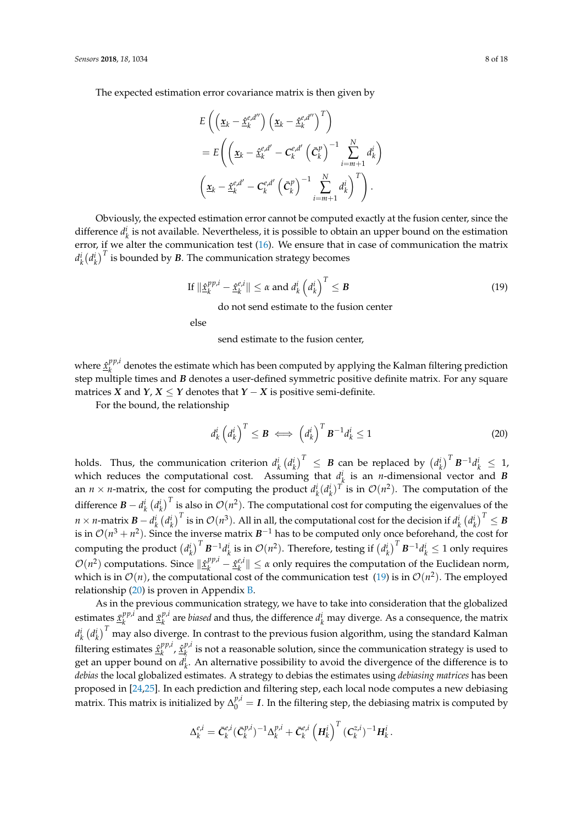The expected estimation error covariance matrix is then given by

$$
E\left(\left(\underline{x}_k - \hat{\underline{x}}_k^{e,d''}\right)\left(\underline{x}_k - \hat{\underline{x}}_k^{e,d''}\right)^T\right)
$$
  
= 
$$
E\left(\left(\underline{x}_k - \hat{\underline{x}}_k^{e,d'} - C_k^{e,d'}\left(\overline{C}_k^p\right)^{-1} \sum_{i=m+1}^N d_k^i\right)
$$
  

$$
\left(\underline{x}_k - \hat{\underline{x}}_k^{e,d'} - C_k^{e,d'}\left(\overline{C}_k^p\right)^{-1} \sum_{i=m+1}^N d_k^i\right)^T\right).
$$

Obviously, the expected estimation error cannot be computed exactly at the fusion center, since the difference  $d_k^i$  is not available. Nevertheless, it is possible to obtain an upper bound on the estimation error, if we alter the communication test [\(16\)](#page-5-3). We ensure that in case of communication the matrix  $d_{k}^{i}\!\left(d_{k}^{i}\right)^{T}$  is bounded by  $\boldsymbol{B}.$  The communication strategy becomes

If 
$$
\|\underline{\mathfrak{L}}_k^{pp,i} - \underline{\mathfrak{L}}_k^{e,i}\| \le \alpha
$$
 and  $d_k^i \left(d_k^i\right)^T \le \mathbf{B}$  (19)

do not send estimate to the fusion center

else

## <span id="page-7-0"></span>send estimate to the fusion center,

where  $\hat{\underline{x}}_{k}^{pp,i}$ *k* denotes the estimate which has been computed by applying the Kalman filtering prediction step multiple times and *B* denotes a user-defined symmetric positive definite matrix. For any square matrices *X* and *Y*, *X*  $\leq$  *Y* denotes that *Y* − *X* is positive semi-definite.

For the bound, the relationship

<span id="page-7-1"></span>
$$
d_k^i \left(d_k^i\right)^T \leq \boldsymbol{B} \iff \left(d_k^i\right)^T \boldsymbol{B}^{-1} d_k^i \leq 1 \tag{20}
$$

holds. Thus, the communication criterion  $d_k^i\left(d_k^i\right)^T \leq B$  can be replaced by  $\left(d_k^i\right)^T B^{-1} d_k^i \leq 1$ , which reduces the computational cost. Assuming that  $d_k^i$  is an *n*-dimensional vector and *B* an  $n \times n$ -matrix, the cost for computing the product  $d_k^i$  ( $d_k^i$ )<sup>T</sup> is in  $\mathcal{O}(n^2)$ . The computation of the difference  $\mathbf{B} - d_k^i (d_k^i)^T$  is also in  $\mathcal{O}(n^2)$ . The computational cost for computing the eigenvalues of the  $n\times n$ -matrix  $\bm{B}-d_k^i\left(d_k^i\right)^T$  is in  $\mathcal{O}(n^3)$ . All in all, the computational cost for the decision if  $d_k^i\left(d_k^i\right)^T\leq \bm{B}$ is in  $\mathcal{O}(n^3 + n^2)$ . Since the inverse matrix  $B^{-1}$  has to be computed only once beforehand, the cost for computing the product  $(d_k^i)^T B^{-1} d_k^i$  is in  $\mathcal{O}(n^2)$ . Therefore, testing if  $(d_k^i)^T B^{-1} d_k^i \leq 1$  only requires  $\mathcal{O}(n^2)$  computations. Since  $\Vert \hat{\mathbf{\underline{x}}}^{p p, i}_{k} - \hat{\mathbf{\underline{x}}}^{e, i}_{k} \Vert$  $\left\| \frac{e_i}{k} \right\| \leq \alpha$  only requires the computation of the Euclidean norm, which is in  $\mathcal{O}(n)$ , the computational cost of the communication test [\(19\)](#page-7-0) is in  $\mathcal{O}(n^2)$ . The employed relationship [\(20\)](#page-7-1) is proven in Appendix [B.](#page-13-0)

As in the previous communication strategy, we have to take into consideration that the globalized estimates  $\bar{x}_k^{pp,i}$  ${}_{k}^{pp,i}$  and  $\underline{\bar{x}}_{k}^{p,i}$  $k_k^{p,t}$  are *biased* and thus, the difference  $d_k^i$  may diverge. As a consequence, the matrix  $d_{k}^{i}\left(d_{k}^{i}\right)^{T}$  may also diverge. In contrast to the previous fusion algorithm, using the standard Kalman filtering estimates  $\underline{\hat{x}}_k^{pp,i}$ *k* , *x*ˆ *p*,*i*  $\mathcal{H}^{\mu}_{k}$  is not a reasonable solution, since the communication strategy is used to get an upper bound on  $d_k^i$ . An alternative possibility to avoid the divergence of the difference is to *debias* the local globalized estimates. A strategy to debias the estimates using *debiasing matrices* has been proposed in [\[24](#page-16-3)[,25\]](#page-16-4). In each prediction and filtering step, each local node computes a new debiasing matrix. This matrix is initialized by  $\Delta_0^{p,i} = I$ . In the filtering step, the debiasing matrix is computed by

$$
\Delta_k^{e,i} = \bar{C}_k^{e,i} (\bar{C}_k^{p,i})^{-1} \Delta_k^{p,i} + \bar{C}_k^{e,i} (\bar{H}_k^i)^T (C_k^{z,i})^{-1} H_k^i.
$$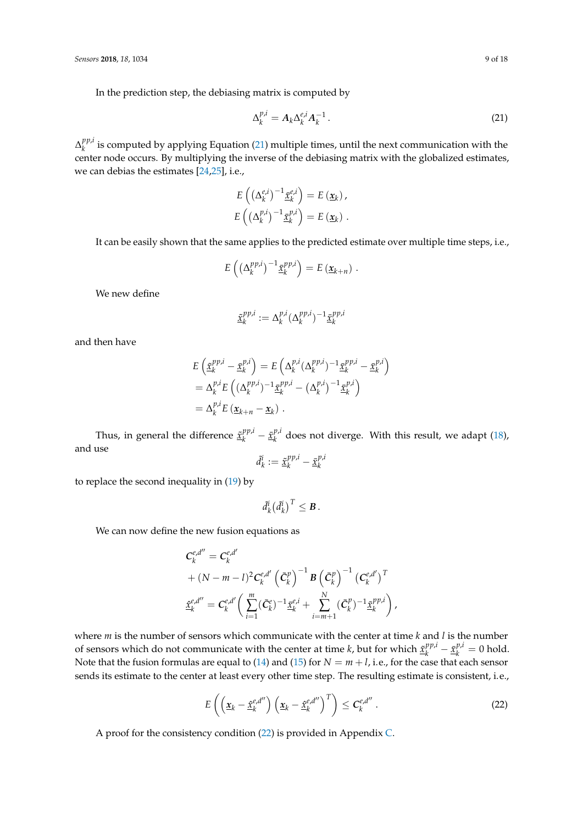In the prediction step, the debiasing matrix is computed by

<span id="page-8-0"></span>
$$
\Delta_k^{p,i} = A_k \Delta_k^{e,i} A_k^{-1} \,. \tag{21}
$$

 $\Delta_k^{pp,i}$ *k* is computed by applying Equation [\(21\)](#page-8-0) multiple times, until the next communication with the center node occurs. By multiplying the inverse of the debiasing matrix with the globalized estimates, we can debias the estimates [\[24,](#page-16-3)[25\]](#page-16-4), i.e.,

$$
E\left(\left(\Delta_k^{e,i}\right)^{-1}\underline{\mathfrak{x}}_k^{e,i}\right) = E\left(\underline{\mathfrak{x}}_k\right),
$$
  

$$
E\left(\left(\Delta_k^{p,i}\right)^{-1}\underline{\mathfrak{x}}_k^{p,i}\right) = E\left(\underline{\mathfrak{x}}_k\right).
$$

It can be easily shown that the same applies to the predicted estimate over multiple time steps, i.e.,

$$
E\left(\left(\Delta_k^{pp,i}\right)^{-1}\underline{\tilde{x}}_k^{pp,i}\right)=E\left(\underline{x}_{k+n}\right).
$$

We new define

$$
\underline{\tilde{x}}_k^{pp,i} := \Delta_k^{p,i} (\Delta_k^{pp,i})^{-1} \underline{\tilde{x}}_k^{pp,i}
$$

and then have

$$
E\left(\underline{\tilde{x}}_k^{pp,i} - \underline{\tilde{x}}_k^{p,i}\right) = E\left(\Delta_k^{p,i}(\Delta_k^{pp,i})^{-1}\underline{\tilde{x}}_k^{pp,i} - \underline{\tilde{x}}_k^{p,i}\right)
$$
  
=  $\Delta_k^{p,i}E\left((\Delta_k^{pp,i})^{-1}\underline{\tilde{x}}_k^{pp,i} - (\Delta_k^{p,i})^{-1}\underline{\tilde{x}}_k^{p,i}\right)$   
=  $\Delta_k^{p,i}E\left(\underline{x}_{k+n} - \underline{x}_k\right)$ .

Thus, in general the difference  $\underline{\tilde{x}}_k^{p} p_i^j - \underline{\tilde{x}}_k^{p,i}$  $k_k^{\mu,\mu}$  does not diverge. With this result, we adapt [\(18\)](#page-6-1), and use

$$
\tilde{d}_k^i := \underline{\tilde{x}}_k^{pp,i} - \underline{\tilde{x}}_k^{p,i}
$$

to replace the second inequality in [\(19\)](#page-7-0) by

$$
\tilde{d}_k^i\big(\tilde{d}_k^i\big)^T\leq B\,.
$$

We can now define the new fusion equations as

$$
C_k^{e,d''} = C_k^{e,d'} + (N - m - 1)^2 C_k^{e,d'} \left(\bar{C}_k^p\right)^{-1} B \left(\bar{C}_k^p\right)^{-1} \left(C_k^{e,d'}\right)^T
$$
  

$$
\underline{\hat{x}}_k^{e,d''} = C_k^{e,d'} \left(\sum_{i=1}^m (\bar{C}_k^e)^{-1} \underline{\tilde{x}}_k^{e,i} + \sum_{i=m+1}^N (\bar{C}_k^p)^{-1} \underline{\tilde{x}}_k^{p} \right),
$$

where *m* is the number of sensors which communicate with the center at time *k* and *l* is the number of sensors which do not communicate with the center at time *k*, but for which  $\tilde{x}_k^{pp,i} - \tilde{x}_k^{p,i} = 0$  hold. Note that the fusion formulas are equal to [\(14\)](#page-5-1) and [\(15\)](#page-5-2) for  $N = m + l$ , i.e., for the case that each sensor sends its estimate to the center at least every other time step. The resulting estimate is consistent, i.e.,

<span id="page-8-1"></span>
$$
E\left(\left(\underline{\mathbf{x}}_k-\underline{\mathbf{x}}_k^{e,d''}\right)\left(\underline{\mathbf{x}}_k-\underline{\mathbf{x}}_k^{e,d''}\right)^T\right)\leq \mathbf{C}_k^{e,d''}.
$$
\n(22)

A proof for the consistency condition [\(22\)](#page-8-1) is provided in Appendix [C.](#page-13-1)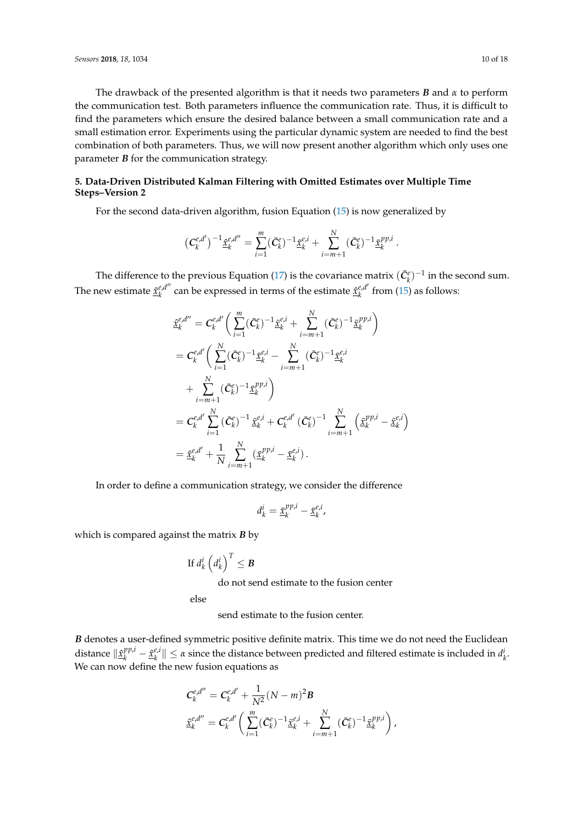The drawback of the presented algorithm is that it needs two parameters *B* and *α* to perform the communication test. Both parameters influence the communication rate. Thus, it is difficult to find the parameters which ensure the desired balance between a small communication rate and a small estimation error. Experiments using the particular dynamic system are needed to find the best combination of both parameters. Thus, we will now present another algorithm which only uses one parameter *B* for the communication strategy.

## <span id="page-9-0"></span>**5. Data-Driven Distributed Kalman Filtering with Omitted Estimates over Multiple Time Steps–Version 2**

For the second data-driven algorithm, fusion Equation [\(15\)](#page-5-2) is now generalized by

$$
\left(C_k^{e,d}\right)^{-1}\underline{\hat{x}}_k^{e,d''} = \sum_{i=1}^m (\bar{C}_k^e)^{-1}\underline{\bar{x}}_k^{e,i} + \sum_{i=m+1}^N (\bar{C}_k^e)^{-1}\underline{\bar{x}}_k^{pp,i}.
$$

The difference to the previous Equation [\(17\)](#page-6-2) is the covariance matrix  $(\bar{C}_k^e)^{-1}$  in the second sum. The new estimate  $\hat{\underline{x}}_k^{e,d''}$  $\frac{e^{i \mathcal{A}''}}{k}$  can be expressed in terms of the estimate  $\hat{\underline{x}}_{k}^{e, \mathcal{A}'}$  $\kappa_k^{e,u}$  from [\(15\)](#page-5-2) as follows:

$$
\begin{split}\n\hat{\underline{x}}_{k}^{e,d''} &= C_{k}^{e,d'} \bigg( \sum_{i=1}^{m} (\bar{C}_{k}^{e})^{-1} \underline{\bar{x}}_{k}^{e,i} + \sum_{i=m+1}^{N} (\bar{C}_{k}^{e})^{-1} \underline{\bar{x}}_{k}^{pp,i} \bigg) \\
&= C_{k}^{e,d'} \bigg( \sum_{i=1}^{N} (\bar{C}_{k}^{e})^{-1} \underline{\bar{x}}_{k}^{e,i} - \sum_{i=m+1}^{N} (\bar{C}_{k}^{e})^{-1} \underline{\bar{x}}_{k}^{e,i} \\
&\quad + \sum_{i=m+1}^{N} (\bar{C}_{k}^{e})^{-1} \underline{\bar{x}}_{k}^{pp,i} \bigg) \\
&= C_{k}^{e,d'} \sum_{i=1}^{N} (\bar{C}_{k}^{e})^{-1} \underline{\bar{x}}_{k}^{e,i} + C_{k}^{e,d'} (\bar{C}_{k}^{e})^{-1} \sum_{i=m+1}^{N} \bigg( \underline{\bar{x}}_{k}^{pp,i} - \underline{\bar{x}}_{k}^{e,i} \bigg) \\
&= \underline{\hat{x}}_{k}^{e,d'} + \frac{1}{N} \sum_{i=m+1}^{N} (\underline{\bar{x}}_{k}^{pp,i} - \underline{\bar{x}}_{k}^{e,i}).\n\end{split}
$$

In order to define a communication strategy, we consider the difference

$$
d_k^i = \underline{\bar{x}}_k^{pp,i} - \underline{\bar{x}}_k^{e,i},
$$

which is compared against the matrix *B* by

$$
\text{If } d_k^i \left( d_k^i \right)^T \leq B
$$

do not send estimate to the fusion center

else

## send estimate to the fusion center.

*B* denotes a user-defined symmetric positive definite matrix. This time we do not need the Euclidean distance  $\Vert \hat{\underline{x}}_k^{pp,i} - \hat{\underline{x}}_k^{e,i} \Vert$  $\|e_{k}^{e_{i}}\| \leq \alpha$  since the distance between predicted and filtered estimate is included in  $d_{k}^{i}$ . We can now define the new fusion equations as

$$
C_k^{e,d''} = C_k^{e,d'} + \frac{1}{N^2} (N-m)^2 B
$$
  

$$
\underline{\hat{x}}_k^{e,d''} = C_k^{e,d'} \left( \sum_{i=1}^m (\bar{C}_k^e)^{-1} \underline{\bar{x}}_k^{e,i} + \sum_{i=m+1}^N (\bar{C}_k^e)^{-1} \underline{\bar{x}}_k^{p} \right),
$$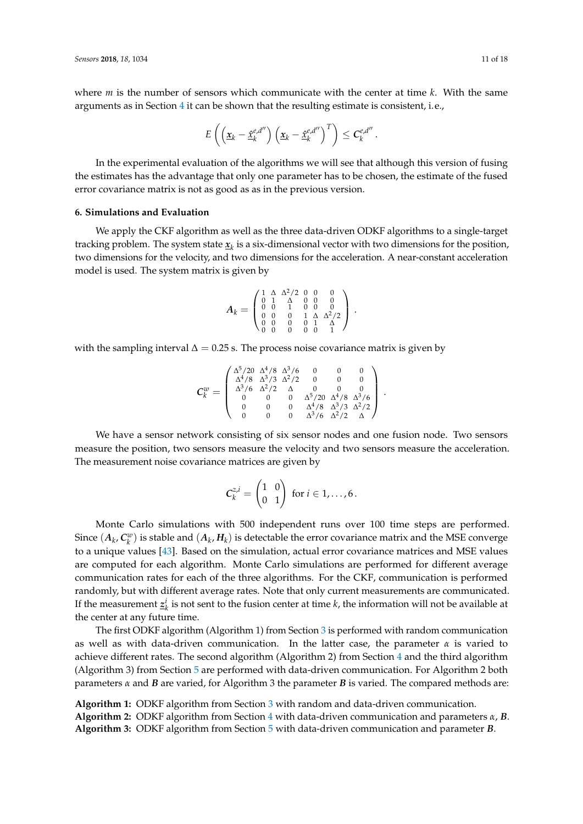where *m* is the number of sensors which communicate with the center at time *k*. With the same arguments as in Section [4](#page-6-0) it can be shown that the resulting estimate is consistent, i.e.,

$$
E\left(\left(\underline{\mathbf{x}}_k-\underline{\hat{\mathbf{x}}}^{e,d''}_{k}\right)\left(\underline{\mathbf{x}}_k-\underline{\hat{\mathbf{x}}}^{e,d''}_{k}\right)^T\right)\leq C_k^{e,d''}.
$$

In the experimental evaluation of the algorithms we will see that although this version of fusing the estimates has the advantage that only one parameter has to be chosen, the estimate of the fused error covariance matrix is not as good as as in the previous version.

## <span id="page-10-0"></span>**6. Simulations and Evaluation**

We apply the CKF algorithm as well as the three data-driven ODKF algorithms to a single-target tracking problem. The system state *x<sup>k</sup>* is a six-dimensional vector with two dimensions for the position, two dimensions for the velocity, and two dimensions for the acceleration. A near-constant acceleration model is used. The system matrix is given by

$$
A_k = \begin{pmatrix} 1 & \Delta & \Delta^2/2 & 0 & 0 & 0 \\ 0 & 1 & \Delta & 0 & 0 & 0 \\ 0 & 0 & 1 & 0 & 0 & 0 \\ 0 & 0 & 0 & 1 & \Delta & \Delta^2/2 \\ 0 & 0 & 0 & 0 & 1 & \Delta \\ 0 & 0 & 0 & 0 & 0 & 1 \end{pmatrix}.
$$

with the sampling interval  $\Delta = 0.25$  s. The process noise covariance matrix is given by

$$
\pmb{C}^w_k = \left( \begin{smallmatrix} \Delta^5/20 & \Delta^4/8 & \Delta^3/6 & 0 & 0 & 0 \\ \Delta^4/8 & \Delta^3/3 & \Delta^2/2 & 0 & 0 & 0 \\ \Delta^3/6 & \Delta^2/2 & \Delta & 0 & 0 & 0 \\ 0 & 0 & 0 & \Delta^5/20 & \Delta^4/8 & \Delta^3/6 \\ 0 & 0 & 0 & \Delta^4/8 & \Delta^3/3 & \Delta^2/2 \\ 0 & 0 & 0 & \Delta^3/6 & \Delta^2/2 & \Delta \end{smallmatrix} \right) \,.
$$

We have a sensor network consisting of six sensor nodes and one fusion node. Two sensors measure the position, two sensors measure the velocity and two sensors measure the acceleration. The measurement noise covariance matrices are given by

$$
\mathcal{C}_k^{z,i} = \begin{pmatrix} 1 & 0 \\ 0 & 1 \end{pmatrix} \text{ for } i \in 1,\ldots,6.
$$

Monte Carlo simulations with 500 independent runs over 100 time steps are performed. Since  $(A_k, C_k^w)$  is stable and  $(A_k, H_k)$  is detectable the error covariance matrix and the MSE converge to a unique values [\[43\]](#page-17-1). Based on the simulation, actual error covariance matrices and MSE values are computed for each algorithm. Monte Carlo simulations are performed for different average communication rates for each of the three algorithms. For the CKF, communication is performed randomly, but with different average rates. Note that only current measurements are communicated. If the measurement  $\underline{z}_k^i$  is not sent to the fusion center at time *k*, the information will not be available at the center at any future time.

The first ODKF algorithm (Algorithm 1) from Section [3](#page-5-0) is performed with random communication as well as with data-driven communication. In the latter case, the parameter *α* is varied to achieve different rates. The second algorithm (Algorithm 2) from Section [4](#page-6-0) and the third algorithm (Algorithm 3) from Section [5](#page-9-0) are performed with data-driven communication. For Algorithm 2 both parameters *α* and *B* are varied, for Algorithm 3 the parameter *B* is varied. The compared methods are:

**Algorithm 1:** ODKF algorithm from Section [3](#page-5-0) with random and data-driven communication. **Algorithm 2:** ODKF algorithm from Section [4](#page-6-0) with data-driven communication and parameters *α*, *B*. **Algorithm 3:** ODKF algorithm from Section [5](#page-9-0) with data-driven communication and parameter *B*.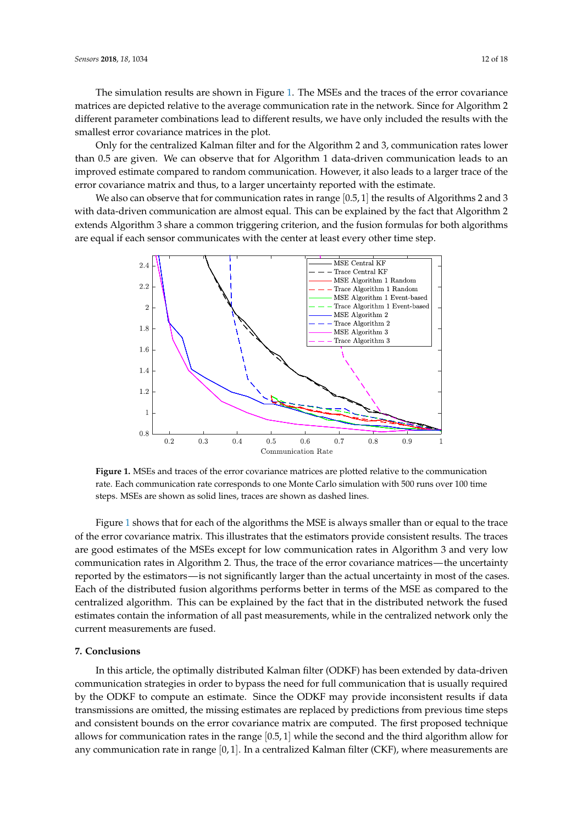The simulation results are shown in Figure [1.](#page-11-1) The MSEs and the traces of the error covariance matrices are depicted relative to the average communication rate in the network. Since for Algorithm 2 different parameter combinations lead to different results, we have only included the results with the smallest error covariance matrices in the plot.

Only for the centralized Kalman filter and for the Algorithm 2 and 3, communication rates lower than 0.5 are given. We can observe that for Algorithm 1 data-driven communication leads to an improved estimate compared to random communication. However, it also leads to a larger trace of the error covariance matrix and thus, to a larger uncertainty reported with the estimate.

We also can observe that for communication rates in range  $[0.5, 1]$  the results of Algorithms 2 and 3 with data-driven communication are almost equal. This can be explained by the fact that Algorithm 2 extends Algorithm 3 share a common triggering criterion, and the fusion formulas for both algorithms are equal if each sensor communicates with the center at least every other time step.

<span id="page-11-1"></span>

**Figure 1.** MSEs and traces of the error covariance matrices are plotted relative to the communication rate. Each communication rate corresponds to one Monte Carlo simulation with 500 runs over 100 time steps. MSEs are shown as solid lines, traces are shown as dashed lines.

Figure [1](#page-11-1) shows that for each of the algorithms the MSE is always smaller than or equal to the trace of the error covariance matrix. This illustrates that the estimators provide consistent results. The traces are good estimates of the MSEs except for low communication rates in Algorithm 3 and very low communication rates in Algorithm 2. Thus, the trace of the error covariance matrices—the uncertainty reported by the estimators—is not significantly larger than the actual uncertainty in most of the cases. Each of the distributed fusion algorithms performs better in terms of the MSE as compared to the centralized algorithm. This can be explained by the fact that in the distributed network the fused estimates contain the information of all past measurements, while in the centralized network only the current measurements are fused.

## <span id="page-11-0"></span>**7. Conclusions**

In this article, the optimally distributed Kalman filter (ODKF) has been extended by data-driven communication strategies in order to bypass the need for full communication that is usually required by the ODKF to compute an estimate. Since the ODKF may provide inconsistent results if data transmissions are omitted, the missing estimates are replaced by predictions from previous time steps and consistent bounds on the error covariance matrix are computed. The first proposed technique allows for communication rates in the range [0.5, 1] while the second and the third algorithm allow for any communication rate in range  $[0, 1]$ . In a centralized Kalman filter (CKF), where measurements are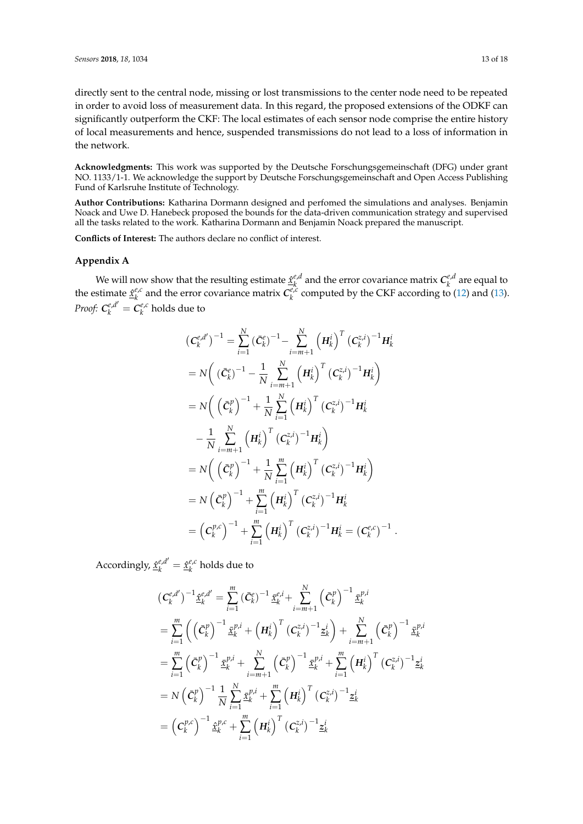directly sent to the central node, missing or lost transmissions to the center node need to be repeated in order to avoid loss of measurement data. In this regard, the proposed extensions of the ODKF can significantly outperform the CKF: The local estimates of each sensor node comprise the entire history of local measurements and hence, suspended transmissions do not lead to a loss of information in the network.

**Acknowledgments:** This work was supported by the Deutsche Forschungsgemeinschaft (DFG) under grant NO. 1133/1-1. We acknowledge the support by Deutsche Forschungsgemeinschaft and Open Access Publishing Fund of Karlsruhe Institute of Technology.

**Author Contributions:** Katharina Dormann designed and perfomed the simulations and analyses. Benjamin Noack and Uwe D. Hanebeck proposed the bounds for the data-driven communication strategy and supervised all the tasks related to the work. Katharina Dormann and Benjamin Noack prepared the manuscript.

**Conflicts of Interest:** The authors declare no conflict of interest.

### <span id="page-12-0"></span>**Appendix A**

We will now show that the resulting estimate  $\underline{\hat{x}}_k^{e,d}$  $\mathcal{C}^{e,d}_{k}$  and the error covariance matrix  $\mathcal{C}^{e,d}_{k}$  $\frac{d}{k}$ <sup>e, $\mu$ </sup> are equal to the estimate  $\underline{\hat{x}}_k^{e,c}$  $\mathcal{C}_{k}^{e,c}$  and the error covariance matrix  $\mathcal{C}_{k}^{e,c}$  $\mathcal{E}_k^{\mathcal{E},c}$  computed by the CKF according to [\(12\)](#page-4-2) and [\(13\)](#page-4-0). *Proof:*  $C_k^{e,d'} = C_k^{e,c}$  $\kappa_k^{\epsilon,\epsilon}$  holds due to

$$
(C_{k}^{e,d'})^{-1} = \sum_{i=1}^{N} (\bar{C}_{k}^{e})^{-1} - \sum_{i=m+1}^{N} (H_{k}^{i})^{T} (C_{k}^{z,i})^{-1} H_{k}^{i}
$$
  
\n
$$
= N \bigg( (\bar{C}_{k}^{e})^{-1} - \frac{1}{N} \sum_{i=m+1}^{N} (H_{k}^{i})^{T} (C_{k}^{z,i})^{-1} H_{k}^{i} \bigg)
$$
  
\n
$$
= N \bigg( (\bar{C}_{k}^{p})^{-1} + \frac{1}{N} \sum_{i=1}^{N} (H_{k}^{i})^{T} (C_{k}^{z,i})^{-1} H_{k}^{i}
$$
  
\n
$$
- \frac{1}{N} \sum_{i=m+1}^{N} (H_{k}^{i})^{T} (C_{k}^{z,i})^{-1} H_{k}^{i} \bigg)
$$
  
\n
$$
= N \bigg( (\bar{C}_{k}^{p})^{-1} + \frac{1}{N} \sum_{i=1}^{m} (H_{k}^{i})^{T} (C_{k}^{z,i})^{-1} H_{k}^{i} \bigg)
$$
  
\n
$$
= N (C_{k}^{p})^{-1} + \sum_{i=1}^{m} (H_{k}^{i})^{T} (C_{k}^{z,i})^{-1} H_{k}^{i}
$$
  
\n
$$
= (C_{k}^{p,c})^{-1} + \sum_{i=1}^{m} (H_{k}^{i})^{T} (C_{k}^{z,i})^{-1} H_{k}^{i} = (C_{k}^{e,c})^{-1}.
$$

Accordingly,  $\underline{\hat{x}}_k^{e,d'} = \underline{\hat{x}}_k^{e,c}$  $\kappa_k^{\epsilon,\epsilon}$  holds due to

$$
(C_{k}^{e,d'})^{-1} \underline{\hat{x}}_{k}^{e,d'} = \sum_{i=1}^{m} (\bar{C}_{k}^{e})^{-1} \underline{\bar{x}}_{k}^{e,i} + \sum_{i=m+1}^{N} (\bar{C}_{k}^{p})^{-1} \underline{\bar{x}}_{k}^{p,i}
$$
  
\n
$$
= \sum_{i=1}^{m} ((\bar{C}_{k}^{p})^{-1} \underline{\bar{x}}_{k}^{p,i} + (H_{k}^{i})^{T} (C_{k}^{z,i})^{-1} \underline{z}_{k}^{i}) + \sum_{i=m+1}^{N} (\bar{C}_{k}^{p})^{-1} \underline{\bar{x}}_{k}^{p,i}
$$
  
\n
$$
= \sum_{i=1}^{m} (\bar{C}_{k}^{p})^{-1} \underline{\bar{x}}_{k}^{p,i} + \sum_{i=m+1}^{N} (\bar{C}_{k}^{p})^{-1} \underline{\bar{x}}_{k}^{p,i} + \sum_{i=1}^{m} (H_{k}^{i})^{T} (C_{k}^{z,i})^{-1} \underline{z}_{k}^{i}
$$
  
\n
$$
= N (\bar{C}_{k}^{p})^{-1} \frac{1}{N} \sum_{i=1}^{N} \underline{\bar{x}}_{k}^{p,i} + \sum_{i=1}^{m} (H_{k}^{i})^{T} (C_{k}^{z,i})^{-1} \underline{z}_{k}^{i}
$$
  
\n
$$
= (C_{k}^{p,c})^{-1} \underline{\hat{x}}_{k}^{p,c} + \sum_{i=1}^{m} (H_{k}^{i})^{T} (C_{k}^{z,i})^{-1} \underline{z}_{k}^{i}
$$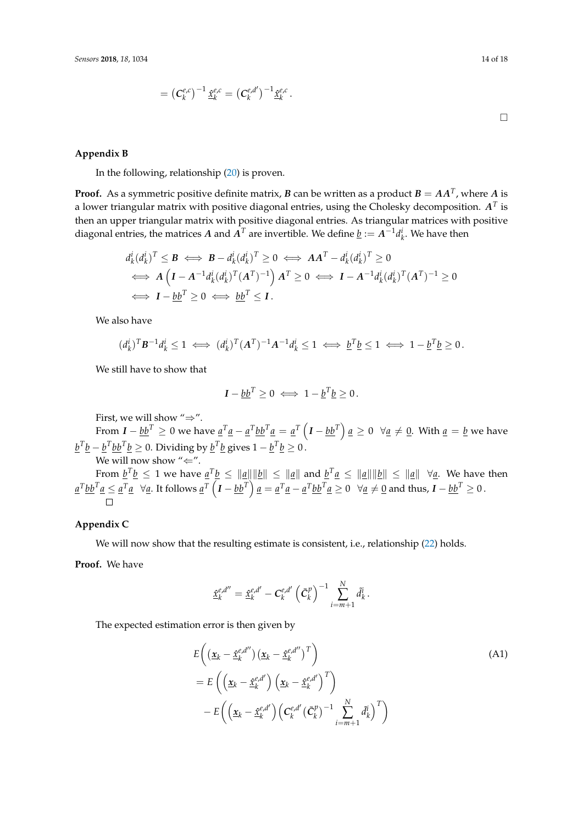$$
=(\mathbf{C}_k^{e,c})^{-1}\,\hat{\underline{\mathbf{x}}}^{e,c}_k=(\mathbf{C}_k^{e,d'})^{-1}\hat{\underline{\mathbf{x}}}^{e,c}_k\,.
$$

 $\Box$ 

## <span id="page-13-0"></span>**Appendix B**

In the following, relationship [\(20\)](#page-7-1) is proven.

**Proof.** As a symmetric positive definite matrix,  $B$  can be written as a product  $B = AA^T$ , where  $A$  is a lower triangular matrix with positive diagonal entries, using the Cholesky decomposition.  $A^T$  is then an upper triangular matrix with positive diagonal entries. As triangular matrices with positive diagonal entries, the matrices *A* and *A*<sup>*T*</sup> are invertible. We define  $\underline{b} := A^{-1}d_k^i$ . We have then

$$
d_k^i (d_k^i)^T \leq \mathbf{B} \iff \mathbf{B} - d_k^i (d_k^i)^T \geq 0 \iff \mathbf{A}\mathbf{A}^T - d_k^i (d_k^i)^T \geq 0
$$
  
\n
$$
\iff \mathbf{A} \left( \mathbf{I} - \mathbf{A}^{-1} d_k^i (d_k^i)^T (\mathbf{A}^T)^{-1} \right) \mathbf{A}^T \geq 0 \iff \mathbf{I} - \mathbf{A}^{-1} d_k^i (d_k^i)^T (\mathbf{A}^T)^{-1} \geq 0
$$
  
\n
$$
\iff \mathbf{I} - \underline{bb}^T \geq 0 \iff \underline{bb}^T \leq \mathbf{I}.
$$

We also have

$$
(d_k^i)^T \mathbf{B}^{-1} d_k^i \le 1 \iff (d_k^i)^T (\mathbf{A}^T)^{-1} \mathbf{A}^{-1} d_k^i \le 1 \iff \underline{b}^T \underline{b} \le 1 \iff 1 - \underline{b}^T \underline{b} \ge 0.
$$

We still have to show that

$$
I - \underline{b} \underline{b}^T \ge 0 \iff 1 - \underline{b}^T \underline{b} \ge 0.
$$

First, we will show " $\Rightarrow$ ".

From  $I-\underline{bb}^T\geq 0$  we have  $\underline{a}^T\underline{a}-\underline{a}^T\underline{b}\underline{b}^T\underline{a}=\underline{a}^T\left(I-\underline{b}\underline{b}^T\right)\underline{a}\geq 0~~\forall \underline{a}\neq\underline{0}.$  With  $\underline{a}=\underline{b}$  we have  $b^Tb - b^Tb b^Tb \geq 0.$  Dividing by  $b^Tb$  gives  $1 - b^Tb \geq 0.$ 

We will now show " $\Leftarrow$ ".

From  $\underline{b}^T \underline{b} \leq 1$  we have  $\underline{a}^T \underline{b} \leq \|\underline{a}\| \|\underline{b}\| \leq \|\underline{a}\|$  and  $\underline{b}^T \underline{a} \leq \|\underline{a}\| \|\underline{b}\| \leq \|\underline{a}\|$   $\forall \underline{a}$ . We have then  $\underline{a}^T \underline{b} \underline{b}^T \underline{a} \leq \underline{a}^T \underline{a} ~~ \forall \underline{a}. ~\text{It follows} ~ \underline{a}^T \left(I - \underline{b} \underline{b}^T\right) \underline{a} = \underline{a}^T \underline{a} - \underline{a}^T \underline{b} \underline{b}^T \underline{a} \geq 0 ~~ \forall \underline{a} \neq \underline{0} ~\text{and thus,} ~I - \underline{b} \underline{b}^T \geq 0 \,.$  $\Box$ 

## <span id="page-13-1"></span>**Appendix C**

We will now show that the resulting estimate is consistent, i.e., relationship [\(22\)](#page-8-1) holds.

**Proof.** We have

<span id="page-13-2"></span>
$$
\underline{\hat{x}}_k^{e,d''} = \underline{\hat{x}}_k^{e,d'} - C_k^{e,d'} \left( \overline{C}_k^p \right)^{-1} \sum_{i=m+1}^N \tilde{d}_k^i.
$$

The expected estimation error is then given by

$$
E\left(\left(\underline{x}_{k} - \underline{\hat{x}}_{k}^{e,d''}\right)\left(\underline{x}_{k} - \underline{\hat{x}}_{k}^{e,d''}\right)^{T}\right)
$$
\n
$$
= E\left(\left(\underline{x}_{k} - \underline{\hat{x}}_{k}^{e,d'}\right)\left(\underline{x}_{k} - \underline{\hat{x}}_{k}^{e,d'}\right)^{T}\right)
$$
\n
$$
- E\left(\left(\underline{x}_{k} - \underline{\hat{x}}_{k}^{e,d'}\right)\left(\underline{C}_{k}^{e,d'}\left(\overline{\underline{C}}_{k}^{p}\right)^{-1} \sum_{i=m+1}^{N} \overline{d}_{k}^{i}\right)^{T}\right)
$$
\n(A1)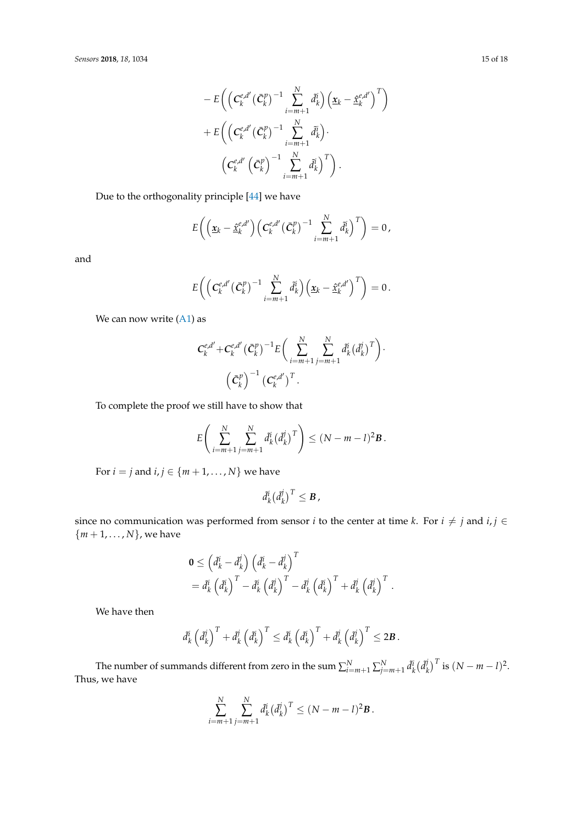$$
- E\bigg( \Big( C_{k}^{e,d'} \big( \bar{C}_{k}^{p} \big)^{-1} \sum_{i=m+1}^{N} \tilde{d}_{k}^{i} \Big) \Big( \underline{x}_{k} - \underline{\hat{x}}_{k}^{e,d'} \Big)^{T} \bigg) + E\bigg( \Big( C_{k}^{e,d'} \big( \bar{C}_{k}^{p} \big)^{-1} \sum_{i=m+1}^{N} \tilde{d}_{k}^{i} \big) \cdot \Big( C_{k}^{e,d'} \Big( \bar{C}_{k}^{p} \Big)^{-1} \sum_{i=m+1}^{N} \tilde{d}_{k}^{i} \Big)^{T} \bigg).
$$

Due to the orthogonality principle [\[44\]](#page-17-2) we have

$$
E\bigg(\bigg(\underline{\mathbf{x}}_k-\underline{\mathbf{x}}_k^{e,d'}\bigg)\bigg(\mathbf{C}_k^{e,d'}(\bar{\mathbf{C}}_k^p)^{-1}\sum_{i=m+1}^N\tilde{d}_k^i\bigg)^T\bigg)=0,
$$

and

$$
E\bigg(\Big(\mathbf{C}_k^{e,d'}\big(\tilde{\mathbf{C}}_k^p\big)^{-1}\sum_{i=m+1}^N\tilde{d}_k^i\big)\Big(\underline{\mathbf{x}}_k-\underline{\mathbf{x}}_k^{e,d'}\Big)^T\bigg)=0.
$$

We can now write [\(A1\)](#page-13-2) as

$$
C_k^{e,d'} + C_k^{e,d'} (\bar{C}_k^p)^{-1} E\bigg(\sum_{i=m+1}^N \sum_{j=m+1}^N \tilde{d}_k^i (\tilde{d}_k^j)^T\bigg) \cdot \left(\bar{C}_k^p\right)^{-1} \left(C_k^{e,d'}\right)^T.
$$

To complete the proof we still have to show that

$$
E\left(\sum_{i=m+1}^N\sum_{j=m+1}^N \tilde{d}_k^i (\tilde{d}_k^j)^T\right) \leq (N-m-l)^2 B.
$$

For *i* = *j* and *i*, *j*  $\in$  { $m$  + 1, . . . , *N*} we have

$$
\tilde{d}_k^i \left( \tilde{d}_k^j \right)^T \leq \mathbf{B} \,,
$$

since no communication was performed from sensor *i* to the center at time *k*. For  $i \neq j$  and  $i, j \in$ {*m* + 1, . . . , *N*}, we have

$$
\mathbf{0} \leq \left(\tilde{d}_{k}^{i} - \tilde{d}_{k}^{j}\right) \left(\tilde{d}_{k}^{i} - \tilde{d}_{k}^{j}\right)^{T}
$$

$$
= \tilde{d}_{k}^{i} \left(\tilde{d}_{k}^{i}\right)^{T} - \tilde{d}_{k}^{i} \left(\tilde{d}_{k}^{j}\right)^{T} - \tilde{d}_{k}^{j} \left(\tilde{d}_{k}^{i}\right)^{T} + \tilde{d}_{k}^{j} \left(\tilde{d}_{k}^{j}\right)^{T}.
$$

We have then

$$
\tilde{d}_{k}^{i}\left(\tilde{d}_{k}^{j}\right)^{T}+\tilde{d}_{k}^{j}\left(\tilde{d}_{k}^{i}\right)^{T}\leq\tilde{d}_{k}^{i}\left(\tilde{d}_{k}^{i}\right)^{T}+\tilde{d}_{k}^{j}\left(\tilde{d}_{k}^{j}\right)^{T}\leq2\mathbf{B}.
$$

The number of summands different from zero in the sum  $\sum_{i=m+1}^{N}\sum_{j=m+1}^{N}\tilde{d}_{k}^{i}$  ( $\tilde{d}_{I}^{j}$  $\int_{k}^{j}$  *T* is  $(N - m - l)^2$ . Thus, we have

$$
\sum_{i=m+1}^{N} \sum_{j=m+1}^{N} \tilde{d}_{k}^{i} (\tilde{d}_{k}^{j})^{T} \leq (N-m-l)^{2} B.
$$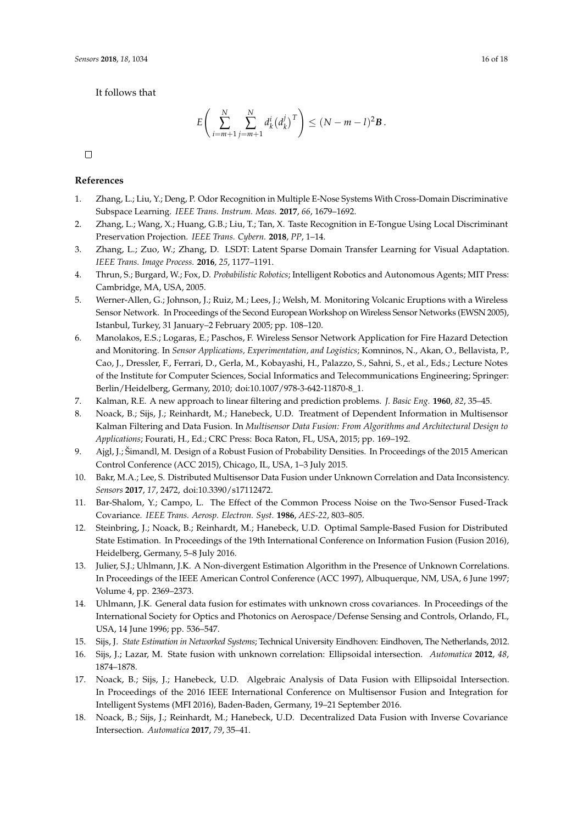It follows that

$$
E\left(\sum_{i=m+1}^{N}\sum_{j=m+1}^{N}d_{k}^{i}(d_{k}^{j})^{T}\right)\leq (N-m-l)^{2}\mathbf{B}.
$$

 $\Box$ 

## **References**

- <span id="page-15-0"></span>1. Zhang, L.; Liu, Y.; Deng, P. Odor Recognition in Multiple E-Nose Systems With Cross-Domain Discriminative Subspace Learning. *IEEE Trans. Instrum. Meas.* **2017**, *66*, 1679–1692.
- <span id="page-15-1"></span>2. Zhang, L.; Wang, X.; Huang, G.B.; Liu, T.; Tan, X. Taste Recognition in E-Tongue Using Local Discriminant Preservation Projection. *IEEE Trans. Cybern.* **2018**, *PP*, 1–14.
- <span id="page-15-2"></span>3. Zhang, L.; Zuo, W.; Zhang, D. LSDT: Latent Sparse Domain Transfer Learning for Visual Adaptation. *IEEE Trans. Image Process.* **2016**, *25*, 1177–1191.
- <span id="page-15-3"></span>4. Thrun, S.; Burgard, W.; Fox, D. *Probabilistic Robotics*; Intelligent Robotics and Autonomous Agents; MIT Press: Cambridge, MA, USA, 2005.
- <span id="page-15-4"></span>5. Werner-Allen, G.; Johnson, J.; Ruiz, M.; Lees, J.; Welsh, M. Monitoring Volcanic Eruptions with a Wireless Sensor Network. In Proceedings of the Second European Workshop on Wireless Sensor Networks (EWSN 2005), Istanbul, Turkey, 31 January–2 February 2005; pp. 108–120.
- <span id="page-15-5"></span>6. Manolakos, E.S.; Logaras, E.; Paschos, F. Wireless Sensor Network Application for Fire Hazard Detection and Monitoring. In *Sensor Applications, Experimentation, and Logistics*; Komninos, N., Akan, O., Bellavista, P., Cao, J., Dressler, F., Ferrari, D., Gerla, M., Kobayashi, H., Palazzo, S., Sahni, S., et al., Eds.; Lecture Notes of the Institute for Computer Sciences, Social Informatics and Telecommunications Engineering; Springer: Berlin/Heidelberg, Germany, 2010; doi[:10.1007/978-3-642-11870-8\\_1.](https://doi.org/10.1007/978-3-642-11870-8_1)
- <span id="page-15-6"></span>7. Kalman, R.E. A new approach to linear filtering and prediction problems. *J. Basic Eng.* **1960**, *82*, 35–45.
- <span id="page-15-7"></span>8. Noack, B.; Sijs, J.; Reinhardt, M.; Hanebeck, U.D. Treatment of Dependent Information in Multisensor Kalman Filtering and Data Fusion. In *Multisensor Data Fusion: From Algorithms and Architectural Design to Applications*; Fourati, H., Ed.; CRC Press: Boca Raton, FL, USA, 2015; pp. 169–192.
- 9. Ajgl, J.; Šimandl, M. Design of a Robust Fusion of Probability Densities. In Proceedings of the 2015 American Control Conference (ACC 2015), Chicago, IL, USA, 1–3 July 2015.
- <span id="page-15-8"></span>10. Bakr, M.A.; Lee, S. Distributed Multisensor Data Fusion under Unknown Correlation and Data Inconsistency. *Sensors* **2017**, *17*, 2472, doi[:10.3390/s17112472.](https://doi.org/10.3390/s17112472)
- <span id="page-15-9"></span>11. Bar-Shalom, Y.; Campo, L. The Effect of the Common Process Noise on the Two-Sensor Fused-Track Covariance. *IEEE Trans. Aerosp. Electron. Syst.* **1986**, *AES-22*, 803–805.
- <span id="page-15-10"></span>12. Steinbring, J.; Noack, B.; Reinhardt, M.; Hanebeck, U.D. Optimal Sample-Based Fusion for Distributed State Estimation. In Proceedings of the 19th International Conference on Information Fusion (Fusion 2016), Heidelberg, Germany, 5–8 July 2016.
- <span id="page-15-11"></span>13. Julier, S.J.; Uhlmann, J.K. A Non-divergent Estimation Algorithm in the Presence of Unknown Correlations. In Proceedings of the IEEE American Control Conference (ACC 1997), Albuquerque, NM, USA, 6 June 1997; Volume 4, pp. 2369–2373.
- <span id="page-15-12"></span>14. Uhlmann, J.K. General data fusion for estimates with unknown cross covariances. In Proceedings of the International Society for Optics and Photonics on Aerospace/Defense Sensing and Controls, Orlando, FL, USA, 14 June 1996; pp. 536–547.
- <span id="page-15-13"></span>15. Sijs, J. *State Estimation in Networked Systems*; Technical University Eindhoven: Eindhoven, The Netherlands, 2012.
- 16. Sijs, J.; Lazar, M. State fusion with unknown correlation: Ellipsoidal intersection. *Automatica* **2012**, *48*, 1874–1878.
- <span id="page-15-14"></span>17. Noack, B.; Sijs, J.; Hanebeck, U.D. Algebraic Analysis of Data Fusion with Ellipsoidal Intersection. In Proceedings of the 2016 IEEE International Conference on Multisensor Fusion and Integration for Intelligent Systems (MFI 2016), Baden-Baden, Germany, 19–21 September 2016.
- <span id="page-15-15"></span>18. Noack, B.; Sijs, J.; Reinhardt, M.; Hanebeck, U.D. Decentralized Data Fusion with Inverse Covariance Intersection. *Automatica* **2017**, *79*, 35–41.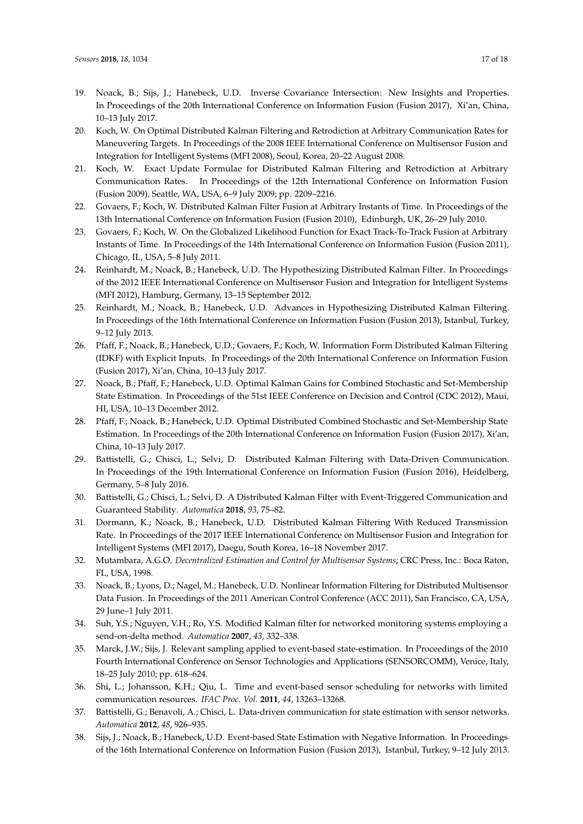- <span id="page-16-0"></span>19. Noack, B.; Sijs, J.; Hanebeck, U.D. Inverse Covariance Intersection: New Insights and Properties. In Proceedings of the 20th International Conference on Information Fusion (Fusion 2017), Xi'an, China, 10–13 July 2017.
- <span id="page-16-1"></span>20. Koch, W. On Optimal Distributed Kalman Filtering and Retrodiction at Arbitrary Communication Rates for Maneuvering Targets. In Proceedings of the 2008 IEEE International Conference on Multisensor Fusion and Integration for Intelligent Systems (MFI 2008), Seoul, Korea, 20–22 August 2008.
- 21. Koch, W. Exact Update Formulae for Distributed Kalman Filtering and Retrodiction at Arbitrary Communication Rates. In Proceedings of the 12th International Conference on Information Fusion (Fusion 2009), Seattle, WA, USA, 6–9 July 2009; pp. 2209–2216.
- 22. Govaers, F.; Koch, W. Distributed Kalman Filter Fusion at Arbitrary Instants of Time. In Proceedings of the 13th International Conference on Information Fusion (Fusion 2010), Edinburgh, UK, 26–29 July 2010.
- <span id="page-16-2"></span>23. Govaers, F.; Koch, W. On the Globalized Likelihood Function for Exact Track-To-Track Fusion at Arbitrary Instants of Time. In Proceedings of the 14th International Conference on Information Fusion (Fusion 2011), Chicago, IL, USA, 5–8 July 2011.
- <span id="page-16-3"></span>24. Reinhardt, M.; Noack, B.; Hanebeck, U.D. The Hypothesizing Distributed Kalman Filter. In Proceedings of the 2012 IEEE International Conference on Multisensor Fusion and Integration for Intelligent Systems (MFI 2012), Hamburg, Germany, 13–15 September 2012.
- <span id="page-16-4"></span>25. Reinhardt, M.; Noack, B.; Hanebeck, U.D. Advances in Hypothesizing Distributed Kalman Filtering. In Proceedings of the 16th International Conference on Information Fusion (Fusion 2013), Istanbul, Turkey, 9–12 July 2013.
- <span id="page-16-5"></span>26. Pfaff, F.; Noack, B.; Hanebeck, U.D.; Govaers, F.; Koch, W. Information Form Distributed Kalman Filtering (IDKF) with Explicit Inputs. In Proceedings of the 20th International Conference on Information Fusion (Fusion 2017), Xi'an, China, 10–13 July 2017.
- <span id="page-16-6"></span>27. Noack, B.; Pfaff, F.; Hanebeck, U.D. Optimal Kalman Gains for Combined Stochastic and Set-Membership State Estimation. In Proceedings of the 51st IEEE Conference on Decision and Control (CDC 2012), Maui, HI, USA, 10–13 December 2012.
- <span id="page-16-7"></span>28. Pfaff, F.; Noack, B.; Hanebeck, U.D. Optimal Distributed Combined Stochastic and Set-Membership State Estimation. In Proceedings of the 20th International Conference on Information Fusion (Fusion 2017), Xi'an, China, 10–13 July 2017.
- <span id="page-16-8"></span>29. Battistelli, G.; Chisci, L.; Selvi, D. Distributed Kalman Filtering with Data-Driven Communication. In Proceedings of the 19th International Conference on Information Fusion (Fusion 2016), Heidelberg, Germany, 5–8 July 2016.
- <span id="page-16-9"></span>30. Battistelli, G.; Chisci, L.; Selvi, D. A Distributed Kalman Filter with Event-Triggered Communication and Guaranteed Stability. *Automatica* **2018**, *93*, 75–82.
- <span id="page-16-10"></span>31. Dormann, K.; Noack, B.; Hanebeck, U.D. Distributed Kalman Filtering With Reduced Transmission Rate. In Proceedings of the 2017 IEEE International Conference on Multisensor Fusion and Integration for Intelligent Systems (MFI 2017), Daegu, South Korea, 16–18 November 2017.
- <span id="page-16-11"></span>32. Mutambara, A.G.O. *Decentralized Estimation and Control for Multisensor Systems*; CRC Press, Inc.: Boca Raton, FL, USA, 1998.
- <span id="page-16-12"></span>33. Noack, B.; Lyons, D.; Nagel, M.; Hanebeck, U.D. Nonlinear Information Filtering for Distributed Multisensor Data Fusion. In Proceedings of the 2011 American Control Conference (ACC 2011), San Francisco, CA, USA, 29 June–1 July 2011.
- <span id="page-16-13"></span>34. Suh, Y.S.; Nguyen, V.H.; Ro, Y.S. Modified Kalman filter for networked monitoring systems employing a send-on-delta method. *Automatica* **2007**, *43*, 332–338.
- 35. Marck, J.W.; Sijs, J. Relevant sampling applied to event-based state-estimation. In Proceedings of the 2010 Fourth International Conference on Sensor Technologies and Applications (SENSORCOMM), Venice, Italy, 18–25 July 2010; pp. 618–624.
- 36. Shi, L.; Johansson, K.H.; Qiu, L. Time and event-based sensor scheduling for networks with limited communication resources. *IFAC Proc. Vol.* **2011**, *44*, 13263–13268.
- 37. Battistelli, G.; Benavoli, A.; Chisci, L. Data-driven communication for state estimation with sensor networks. *Automatica* **2012**, *48*, 926–935.
- 38. Sijs, J.; Noack, B.; Hanebeck, U.D. Event-based State Estimation with Negative Information. In Proceedings of the 16th International Conference on Information Fusion (Fusion 2013), Istanbul, Turkey, 9–12 July 2013.